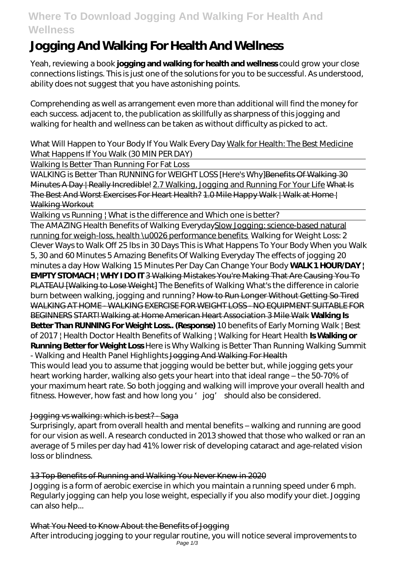## **Where To Download Jogging And Walking For Health And Wellness**

# **Jogging And Walking For Health And Wellness**

Yeah, reviewing a book **jogging and walking for health and wellness** could grow your close connections listings. This is just one of the solutions for you to be successful. As understood, ability does not suggest that you have astonishing points.

Comprehending as well as arrangement even more than additional will find the money for each success. adjacent to, the publication as skillfully as sharpness of this jogging and walking for health and wellness can be taken as without difficulty as picked to act.

What Will Happen to Your Body If You Walk Every Day Walk for Health: The Best Medicine What Happens If You Walk (30 MIN PER DAY)

Walking Is Better Than Running For Fat Loss

WALKING is Better Than RUNNING for WEIGHT LOSS [Here's Why] Benefits Of Walking 30 Minutes A Day | Really Incredible! 2.7 Walking, Jogging and Running For Your Life What Is The Best And Worst Exercises For Heart Health? 1.0 Mile Happy Walk | Walk at Home | Walking Workout

Walking vs Running | What is the difference and Which one is better?

The AMAZING Health Benefits of Walking EverydaySlow Jogging: science-based natural running for weigh-loss, health \u0026 performance benefits *Walking for Weight Loss: 2 Clever Ways to Walk Off 25 lbs in 30 Days This is What Happens To Your Body When you Walk 5, 30 and 60 Minutes* 5 Amazing Benefits Of Walking Everyday *The effects of jogging 20 minutes a day* How Walking 15 Minutes Per Day Can Change Your Body **WALK 1 HOUR/DAY | EMPTY STOMACH | WHY I DO IT** 3 Walking Mistakes You're Making That Are Causing You To PLATEAU [Walking to Lose Weight] The Benefits of Walking What's the difference in calorie burn between walking, jogging and running? How to Run Longer Without Getting So Tired WALKING AT HOME - WALKING EXERCISE FOR WEIGHT LOSS - NO EQUIPMENT SUITABLE FOR BEGINNERS START! Walking at Home American Heart Association 3 Mile Walk **Walking Is Better Than RUNNING For Weight Loss.. (Response)** *10 benefits of Early Morning Walk | Best of 2017 | Health Doctor* Health Benefits of Walking | Walking for Heart Health **Is Walking or Running Better for Weight Loss** Here is Why Walking is Better Than Running *Walking Summit - Walking and Health Panel Highlights* Jogging And Walking For Health This would lead you to assume that jogging would be better but, while jogging gets your

heart working harder, walking also gets your heart into that ideal range – the 50-70% of your maximum heart rate. So both jogging and walking will improve your overall health and fitness. However, how fast and how long you ' jog' should also be considered.

## Jogging vs walking: which is best? - Saga

Surprisingly, apart from overall health and mental benefits – walking and running are good for our vision as well. A research conducted in 2013 showed that those who walked or ran an average of 5 miles per day had 41% lower risk of developing cataract and age-related vision loss or blindness.

## 13 Top Benefits of Running and Walking You Never Knew in 2020

Jogging is a form of aerobic exercise in which you maintain a running speed under 6 mph. Regularly jogging can help you lose weight, especially if you also modify your diet. Jogging can also help...

## What You Need to Know About the Benefits of Jogging

After introducing jogging to your regular routine, you will notice several improvements to Page 1/3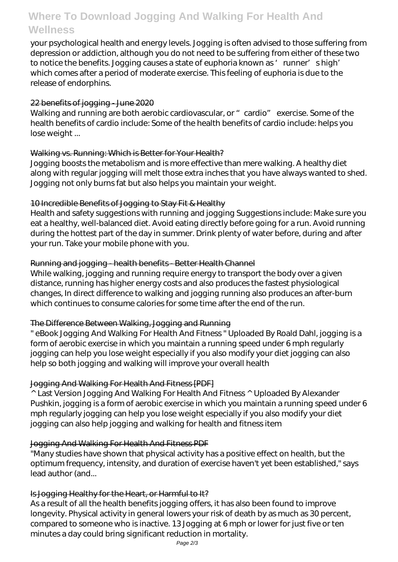## **Where To Download Jogging And Walking For Health And Wellness**

your psychological health and energy levels. Jogging is often advised to those suffering from depression or addiction, although you do not need to be suffering from either of these two to notice the benefits. Jogging causes a state of euphoria known as 'runner's high' which comes after a period of moderate exercise. This feeling of euphoria is due to the release of endorphins.

#### 22 benefits of jogging - June 2020

Walking and running are both aerobic cardiovascular, or "cardio" exercise. Some of the health benefits of cardio include: Some of the health benefits of cardio include: helps you lose weight ...

#### Walking vs. Running: Which is Better for Your Health?

Jogging boosts the metabolism and is more effective than mere walking. A healthy diet along with regular jogging will melt those extra inches that you have always wanted to shed. Jogging not only burns fat but also helps you maintain your weight.

#### 10 Incredible Benefits of Jogging to Stay Fit & Healthy

Health and safety suggestions with running and jogging Suggestions include: Make sure you eat a healthy, well-balanced diet. Avoid eating directly before going for a run. Avoid running during the hottest part of the day in summer. Drink plenty of water before, during and after your run. Take your mobile phone with you.

#### Running and jogging - health benefits - Better Health Channel

While walking, jogging and running require energy to transport the body over a given distance, running has higher energy costs and also produces the fastest physiological changes, In direct difference to walking and jogging running also produces an after-burn which continues to consume calories for some time after the end of the run.

## The Difference Between Walking, Jogging and Running

" eBook Jogging And Walking For Health And Fitness " Uploaded By Roald Dahl, jogging is a form of aerobic exercise in which you maintain a running speed under 6 mph regularly jogging can help you lose weight especially if you also modify your diet jogging can also help so both jogging and walking will improve your overall health

## Jogging And Walking For Health And Fitness [PDF]

^ Last Version Jogging And Walking For Health And Fitness ^ Uploaded By Alexander Pushkin, jogging is a form of aerobic exercise in which you maintain a running speed under 6 mph regularly jogging can help you lose weight especially if you also modify your diet jogging can also help jogging and walking for health and fitness item

## Jogging And Walking For Health And Fitness PDF

"Many studies have shown that physical activity has a positive effect on health, but the optimum frequency, intensity, and duration of exercise haven't yet been established," says lead author (and...

#### Is Jogging Healthy for the Heart, or Harmful to It?

As a result of all the health benefits jogging offers, it has also been found to improve longevity. Physical activity in general lowers your risk of death by as much as 30 percent, compared to someone who is inactive. 13 Jogging at 6 mph or lower for just five or ten minutes a day could bring significant reduction in mortality.